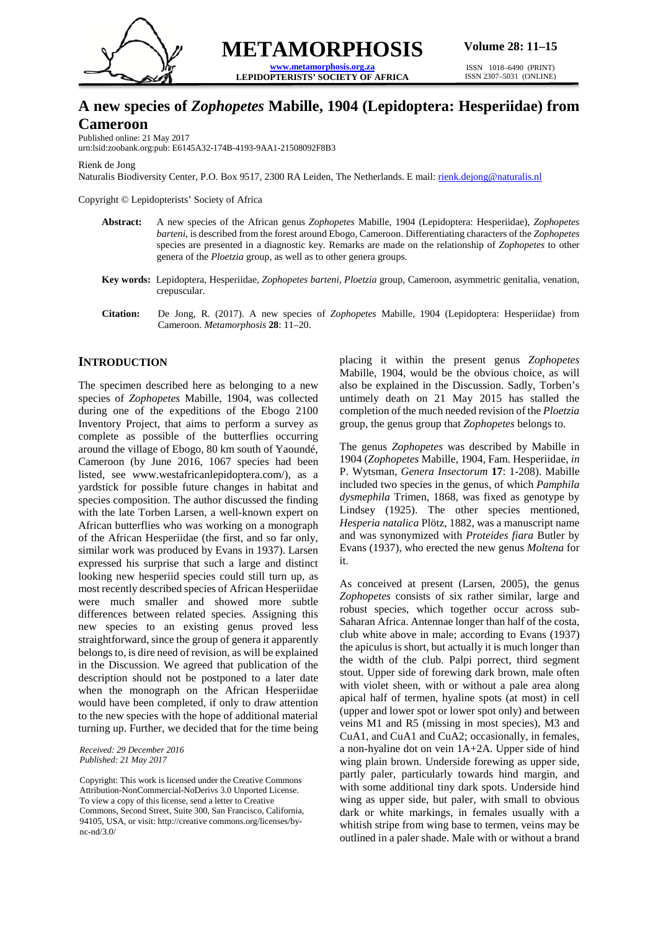

**METAMORPHOSIS [www.metamorphosis.org.za](http://www.metamorphosis.org.za/)**

**LEPIDOPTERISTS' SOCIETY OF AFRICA**

ISSN 1018–6490 (PRINT) ISSN 2307–5031 (ONLINE)

# **A new species of** *Zophopetes* **Mabille, 1904 (Lepidoptera: Hesperiidae) from Cameroon**

Published online: 21 May 2017

urn:lsid:zoobank.org:pub: E6145A32-174B-4193-9AA1-21508092F8B3

Rienk de Jong

Naturalis Biodiversity Center, P.O. Box 9517, 2300 RA Leiden, The Netherlands. E mail[: rienk.dejong@naturalis.nl](mailto:rienk.dejong@naturalis.nl)

Copyright © Lepidopterists' Society of Africa

- **Abstract:** A new species of the African genus *Zophopetes* Mabille, 1904 (Lepidoptera: Hesperiidae), *Zophopetes barteni*, is described from the forest around Ebogo, Cameroon. Differentiating characters of the *Zophopetes* species are presented in a diagnostic key. Remarks are made on the relationship of *Zophopetes* to other genera of the *Ploetzia* group, as well as to other genera groups.
- **Key words:** Lepidoptera, Hesperiidae, *Zophopetes barteni, Ploetzia* group, Cameroon, asymmetric genitalia, venation, crepuscular.
- **Citation:** De Jong, R. (2017). A new species of *Zophopetes* Mabille, 1904 (Lepidoptera: Hesperiidae) from Cameroon. *Metamorphosis* **28**: 11–20.

## **INTRODUCTION**

The specimen described here as belonging to a new species of *Zophopetes* Mabille, 1904, was collected during one of the expeditions of the Ebogo 2100 Inventory Project, that aims to perform a survey as complete as possible of the butterflies occurring around the village of Ebogo, 80 km south of Yaoundé, Cameroon (by June 2016, 1067 species had been listed, see www.westafricanlepidoptera.com/), as a yardstick for possible future changes in habitat and species composition. The author discussed the finding with the late Torben Larsen, a well-known expert on African butterflies who was working on a monograph of the African Hesperiidae (the first, and so far only, similar work was produced by Evans in 1937). Larsen expressed his surprise that such a large and distinct looking new hesperiid species could still turn up, as most recently described species of African Hesperiidae were much smaller and showed more subtle differences between related species. Assigning this new species to an existing genus proved less straightforward, since the group of genera it apparently belongs to, is dire need of revision, as will be explained in the Discussion. We agreed that publication of the description should not be postponed to a later date when the monograph on the African Hesperiidae would have been completed, if only to draw attention to the new species with the hope of additional material turning up. Further, we decided that for the time being

*Received: 29 December 2016 Published: 21 May 2017*

placing it within the present genus *Zophopetes* Mabille, 1904, would be the obvious choice, as will also be explained in the Discussion. Sadly, Torben's untimely death on 21 May 2015 has stalled the completion of the much needed revision of the *Ploetzia* group, the genus group that *Zophopetes* belongs to.

The genus *Zophopetes* was described by Mabille in 1904 (*Zophopetes* Mabille, 1904, Fam. Hesperiidae, *in* P. Wytsman, *Genera Insectorum* **17**: 1-208). Mabille included two species in the genus, of which *Pamphila dysmephila* Trimen, 1868, was fixed as genotype by Lindsey (1925). The other species mentioned, *Hesperia natalica* Plötz, 1882, was a manuscript name and was synonymized with *Proteides fiara* Butler by Evans (1937), who erected the new genus *Moltena* for it.

As conceived at present (Larsen, 2005), the genus *Zophopetes* consists of six rather similar, large and robust species, which together occur across sub-Saharan Africa. Antennae longer than half of the costa, club white above in male; according to Evans (1937) the apiculus is short, but actually it is much longer than the width of the club. Palpi porrect, third segment stout. Upper side of forewing dark brown, male often with violet sheen, with or without a pale area along apical half of termen, hyaline spots (at most) in cell (upper and lower spot or lower spot only) and between veins M1 and R5 (missing in most species), M3 and CuA1, and CuA1 and CuA2; occasionally, in females, a non-hyaline dot on vein 1A+2A. Upper side of hind wing plain brown. Underside forewing as upper side, partly paler, particularly towards hind margin, and with some additional tiny dark spots. Underside hind wing as upper side, but paler, with small to obvious dark or white markings, in females usually with a whitish stripe from wing base to termen, veins may be outlined in a paler shade. Male with or without a brand

Copyright: This work is licensed under the Creative Commons Attribution-NonCommercial-NoDerivs 3.0 Unported License. To view a copy of this license, send a letter to Creative Commons, Second Street, Suite 300, San Francisco, California, 94105, USA, or visit: http://creative commons.org/licenses/bync-nd/3.0/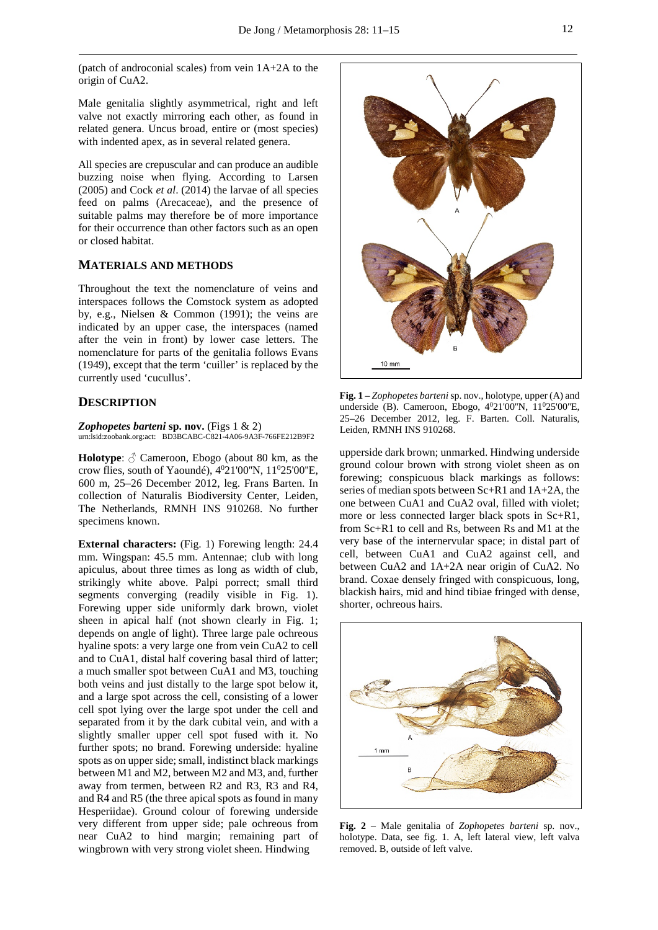(patch of androconial scales) from vein 1A+2A to the origin of CuA2.

Male genitalia slightly asymmetrical, right and left valve not exactly mirroring each other, as found in related genera. Uncus broad, entire or (most species) with indented apex, as in several related genera.

All species are crepuscular and can produce an audible buzzing noise when flying. According to Larsen (2005) and Cock *et al*. (2014) the larvae of all species feed on palms (Arecaceae), and the presence of suitable palms may therefore be of more importance for their occurrence than other factors such as an open or closed habitat.

## **MATERIALS AND METHODS**

Throughout the text the nomenclature of veins and interspaces follows the Comstock system as adopted by, e.g., Nielsen & Common (1991); the veins are indicated by an upper case, the interspaces (named after the vein in front) by lower case letters. The nomenclature for parts of the genitalia follows Evans (1949), except that the term 'cuiller' is replaced by the currently used 'cucullus'.

#### **DESCRIPTION**

*Zophopetes barteni* **sp. nov.** (Figs 1 & 2) urn:lsid:zoobank.org:act: BD3BCABC-C821-4A06-9A3F-766FE212B9F2

**Holotype**:  $\Diamond$  Cameroon, Ebogo (about 80 km, as the crow flies, south of Yaoundé), 4<sup>0</sup>21'00"N, 11<sup>0</sup>25'00"E, 600 m, 25–26 December 2012, leg. Frans Barten. In collection of Naturalis Biodiversity Center, Leiden, The Netherlands, RMNH INS 910268. No further specimens known.

**External characters:** (Fig. 1) Forewing length: 24.4 mm. Wingspan: 45.5 mm. Antennae; club with long apiculus, about three times as long as width of club, strikingly white above. Palpi porrect; small third segments converging (readily visible in Fig. 1). Forewing upper side uniformly dark brown, violet sheen in apical half (not shown clearly in Fig. 1; depends on angle of light). Three large pale ochreous hyaline spots: a very large one from vein CuA2 to cell and to CuA1, distal half covering basal third of latter; a much smaller spot between CuA1 and M3, touching both veins and just distally to the large spot below it, and a large spot across the cell, consisting of a lower cell spot lying over the large spot under the cell and separated from it by the dark cubital vein, and with a slightly smaller upper cell spot fused with it. No further spots; no brand. Forewing underside: hyaline spots as on upper side; small, indistinct black markings between M1 and M2, between M2 and M3, and, further away from termen, between R2 and R3, R3 and R4, and R4 and R5 (the three apical spots as found in many Hesperiidae). Ground colour of forewing underside very different from upper side; pale ochreous from near CuA2 to hind margin; remaining part of wingbrown with very strong violet sheen. Hindwing



**Fig. 1** – *Zophopetes barteni* sp. nov., holotype, upper (A) and underside (B). Cameroon, Ebogo, 4<sup>0</sup>21'00"N, 11<sup>0</sup>25'00"E, 25–26 December 2012, leg. F. Barten. Coll. Naturalis, Leiden, RMNH INS 910268.

upperside dark brown; unmarked. Hindwing underside ground colour brown with strong violet sheen as on forewing; conspicuous black markings as follows: series of median spots between Sc+R1 and 1A+2A, the one between CuA1 and CuA2 oval, filled with violet; more or less connected larger black spots in Sc+R1, from Sc+R1 to cell and Rs, between Rs and M1 at the very base of the internervular space; in distal part of cell, between CuA1 and CuA2 against cell, and between CuA2 and 1A+2A near origin of CuA2. No brand. Coxae densely fringed with conspicuous, long, blackish hairs, mid and hind tibiae fringed with dense, shorter, ochreous hairs.



**Fig. 2** – Male genitalia of *Zophopetes barteni* sp. nov., holotype. Data, see fig. 1. A, left lateral view, left valva removed. B, outside of left valve.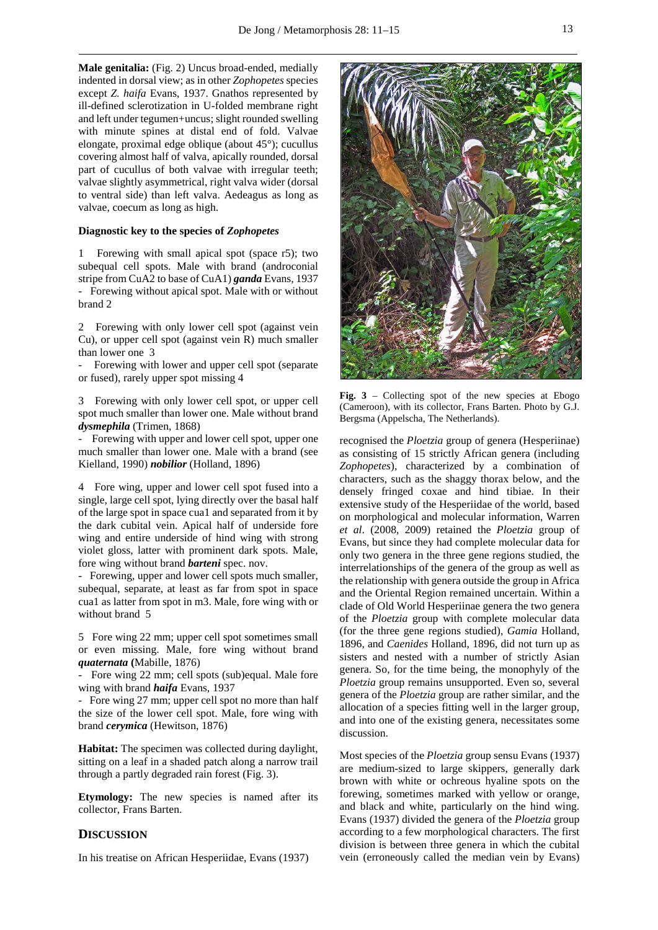**Male genitalia:** (Fig. 2) Uncus broad-ended, medially indented in dorsal view; as in other *Zophopetes* species except *Z. haifa* Evans, 1937. Gnathos represented by ill-defined sclerotization in U-folded membrane right and left under tegumen+uncus; slight rounded swelling with minute spines at distal end of fold. Valvae elongate, proximal edge oblique (about 45°); cucullus covering almost half of valva, apically rounded, dorsal part of cucullus of both valvae with irregular teeth; valvae slightly asymmetrical, right valva wider (dorsal to ventral side) than left valva. Aedeagus as long as valvae, coecum as long as high.

#### **Diagnostic key to the species of** *Zophopetes*

1 Forewing with small apical spot (space r5); two subequal cell spots. Male with brand (androconial stripe from CuA2 to base of CuA1) *ganda* Evans, 1937 - Forewing without apical spot. Male with or without brand 2

2 Forewing with only lower cell spot (against vein Cu), or upper cell spot (against vein R) much smaller than lower one 3

Forewing with lower and upper cell spot (separate or fused), rarely upper spot missing 4

3 Forewing with only lower cell spot, or upper cell spot much smaller than lower one. Male without brand *dysmephila* (Trimen, 1868)

Forewing with upper and lower cell spot, upper one much smaller than lower one. Male with a brand (see Kielland, 1990) *nobilior* (Holland, 1896)

4 Fore wing, upper and lower cell spot fused into a single, large cell spot, lying directly over the basal half of the large spot in space cua1 and separated from it by the dark cubital vein. Apical half of underside fore wing and entire underside of hind wing with strong violet gloss, latter with prominent dark spots. Male, fore wing without brand *barteni* spec. nov.

- Forewing, upper and lower cell spots much smaller, subequal, separate, at least as far from spot in space cua1 as latter from spot in m3. Male, fore wing with or without brand 5

5 Fore wing 22 mm; upper cell spot sometimes small or even missing. Male, fore wing without brand *quaternata* **(**Mabille, 1876)

Fore wing 22 mm; cell spots (sub)equal. Male fore wing with brand *haifa* Evans, 1937

- Fore wing 27 mm; upper cell spot no more than half the size of the lower cell spot. Male, fore wing with brand *cerymica* (Hewitson, 1876)

**Habitat:** The specimen was collected during daylight, sitting on a leaf in a shaded patch along a narrow trail through a partly degraded rain forest (Fig. 3).

**Etymology:** The new species is named after its collector, Frans Barten.

### **DISCUSSION**

In his treatise on African Hesperiidae, Evans (1937)



Fig. 3 – Collecting spot of the new species at Ebogo (Cameroon), with its collector, Frans Barten. Photo by G.J. Bergsma (Appelscha, The Netherlands).

recognised the *Ploetzia* group of genera (Hesperiinae) as consisting of 15 strictly African genera (including *Zophopetes*), characterized by a combination of characters, such as the shaggy thorax below, and the densely fringed coxae and hind tibiae. In their extensive study of the Hesperiidae of the world, based on morphological and molecular information, Warren *et al*. (2008, 2009) retained the *Ploetzia* group of Evans, but since they had complete molecular data for only two genera in the three gene regions studied, the interrelationships of the genera of the group as well as the relationship with genera outside the group in Africa and the Oriental Region remained uncertain. Within a clade of Old World Hesperiinae genera the two genera of the *Ploetzia* group with complete molecular data (for the three gene regions studied), *Gamia* Holland, 1896, and *Caenides* Holland, 1896, did not turn up as sisters and nested with a number of strictly Asian genera. So, for the time being, the monophyly of the *Ploetzia* group remains unsupported. Even so, several genera of the *Ploetzia* group are rather similar, and the allocation of a species fitting well in the larger group, and into one of the existing genera, necessitates some discussion.

Most species of the *Ploetzia* group sensu Evans (1937) are medium-sized to large skippers, generally dark brown with white or ochreous hyaline spots on the forewing, sometimes marked with yellow or orange, and black and white, particularly on the hind wing. Evans (1937) divided the genera of the *Ploetzia* group according to a few morphological characters. The first division is between three genera in which the cubital vein (erroneously called the median vein by Evans)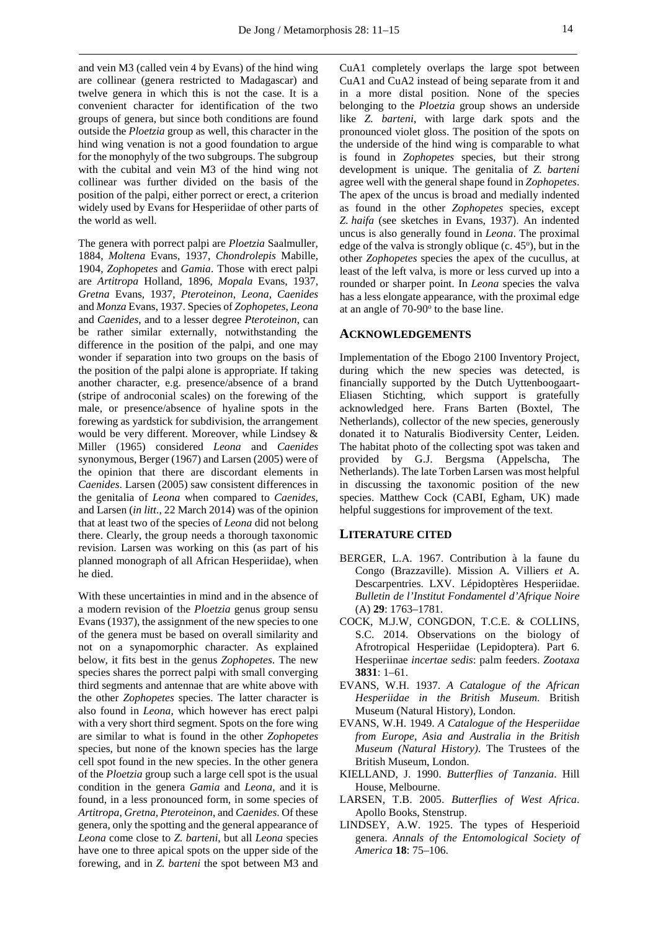and vein M3 (called vein 4 by Evans) of the hind wing are collinear (genera restricted to Madagascar) and twelve genera in which this is not the case. It is a convenient character for identification of the two groups of genera, but since both conditions are found outside the *Ploetzia* group as well, this character in the hind wing venation is not a good foundation to argue for the monophyly of the two subgroups. The subgroup with the cubital and vein M3 of the hind wing not collinear was further divided on the basis of the position of the palpi, either porrect or erect, a criterion widely used by Evans for Hesperiidae of other parts of the world as well.

The genera with porrect palpi are *Ploetzia* Saalmuller, 1884, *Moltena* Evans, 1937, *Chondrolepis* Mabille, 1904, *Zophopetes* and *Gamia*. Those with erect palpi are *Artitropa* Holland, 1896, *Mopala* Evans, 1937, *Gretna* Evans, 1937, *Pteroteinon*, *Leona*, *Caenides* and *Monza* Evans, 1937. Species of *Zophopetes*, *Leona* and *Caenides*, and to a lesser degree *Pteroteinon*, can be rather similar externally, notwithstanding the difference in the position of the palpi, and one may wonder if separation into two groups on the basis of the position of the palpi alone is appropriate. If taking another character, e.g. presence/absence of a brand (stripe of androconial scales) on the forewing of the male, or presence/absence of hyaline spots in the forewing as yardstick for subdivision, the arrangement would be very different. Moreover, while Lindsey & Miller (1965) considered *Leona* and *Caenides* synonymous, Berger (1967) and Larsen (2005) were of the opinion that there are discordant elements in *Caenides*. Larsen (2005) saw consistent differences in the genitalia of *Leona* when compared to *Caenides*, and Larsen (*in litt*., 22 March 2014) was of the opinion that at least two of the species of *Leona* did not belong there. Clearly, the group needs a thorough taxonomic revision. Larsen was working on this (as part of his planned monograph of all African Hesperiidae), when he died.

With these uncertainties in mind and in the absence of a modern revision of the *Ploetzia* genus group sensu Evans (1937), the assignment of the new species to one of the genera must be based on overall similarity and not on a synapomorphic character. As explained below, it fits best in the genus *Zophopetes*. The new species shares the porrect palpi with small converging third segments and antennae that are white above with the other *Zophopetes* species. The latter character is also found in *Leona*, which however has erect palpi with a very short third segment. Spots on the fore wing are similar to what is found in the other *Zophopetes* species, but none of the known species has the large cell spot found in the new species. In the other genera of the *Ploetzia* group such a large cell spot is the usual condition in the genera *Gamia* and *Leona*, and it is found, in a less pronounced form, in some species of *Artitropa*, *Gretna*, *Pteroteinon*, and *Caenides*. Of these genera, only the spotting and the general appearance of *Leona* come close to *Z. barteni*, but all *Leona* species have one to three apical spots on the upper side of the forewing, and in *Z. barteni* the spot between M3 and

CuA1 completely overlaps the large spot between CuA1 and CuA2 instead of being separate from it and in a more distal position. None of the species belonging to the *Ploetzia* group shows an underside like *Z. barteni*, with large dark spots and the pronounced violet gloss. The position of the spots on the underside of the hind wing is comparable to what is found in *Zophopetes* species, but their strong development is unique. The genitalia of *Z. barteni* agree well with the general shape found in *Zophopetes*. The apex of the uncus is broad and medially indented as found in the other *Zophopetes* species, except *Z. haifa* (see sketches in Evans, 1937). An indented uncus is also generally found in *Leona*. The proximal edge of the valva is strongly oblique  $(c. 45<sup>o</sup>)$ , but in the other *Zophopetes* species the apex of the cucullus, at least of the left valva, is more or less curved up into a rounded or sharper point. In *Leona* species the valva has a less elongate appearance, with the proximal edge at an angle of  $70-90^\circ$  to the base line.

#### **ACKNOWLEDGEMENTS**

Implementation of the Ebogo 2100 Inventory Project, during which the new species was detected, is financially supported by the Dutch Uyttenboogaart-Eliasen Stichting, which support is gratefully acknowledged here. Frans Barten (Boxtel, The Netherlands), collector of the new species, generously donated it to Naturalis Biodiversity Center, Leiden. The habitat photo of the collecting spot was taken and provided by G.J. Bergsma (Appelscha, The Netherlands). The late Torben Larsen was most helpful in discussing the taxonomic position of the new species. Matthew Cock (CABI, Egham, UK) made helpful suggestions for improvement of the text.

#### **LITERATURE CITED**

- BERGER, L.A. 1967. Contribution à la faune du Congo (Brazzaville). Mission A. Villiers *et* A. Descarpentries. LXV. Lépidoptères Hesperiidae. *Bulletin de l'Institut Fondamentel d'Afrique Noire* (A) **29**: 1763–1781.
- COCK, M.J.W, CONGDON, T.C.E. & COLLINS, S.C. 2014. Observations on the biology of Afrotropical Hesperiidae (Lepidoptera). Part 6. Hesperiinae *incertae sedis*: palm feeders. *Zootaxa* **3831**: 1–61.
- EVANS, W.H. 1937. *A Catalogue of the African Hesperiidae in the British Museum*. British Museum (Natural History), London.
- EVANS, W.H. 1949. *A Catalogue of the Hesperiidae from Europe, Asia and Australia in the British Museum (Natural History)*. The Trustees of the British Museum, London.
- KIELLAND, J. 1990. *Butterflies of Tanzania*. Hill House, Melbourne.
- LARSEN, T.B. 2005. *Butterflies of West Africa*. Apollo Books, Stenstrup.
- LINDSEY, A.W. 1925. The types of Hesperioid genera. *Annals of the Entomological Society of America* **18**: 75–106.